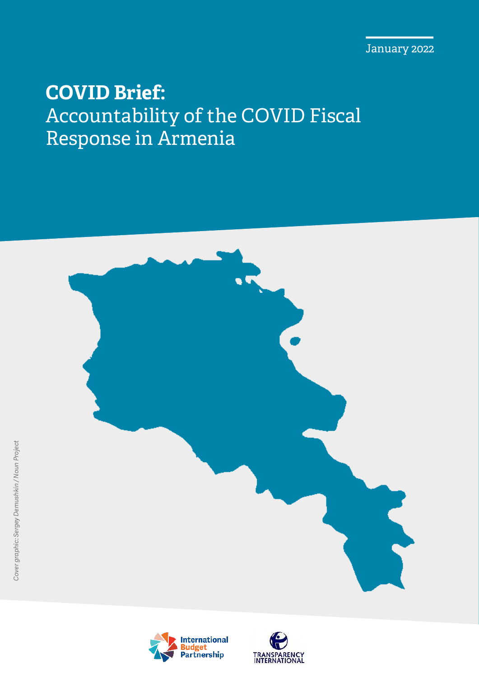January 2022

## **COVID Brief:**  Accountability of the COVID Fiscal Response in Armenia





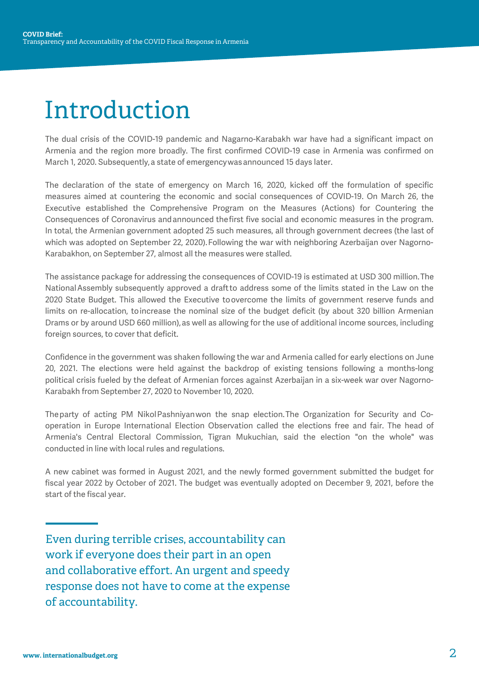# Introduction

The dual crisis of the COVID-19 pandemic and Nagarno-Karabakh war have had a significant impact on Armenia and the region more broadly. The first confirmed COVID-19 case in Armenia was confirmed on March 1, 2020. Subsequently, a state of emergency was announced 15 days later.

The declaration of the state of emergency on March 16, 2020, kicked off the formulation of specific measures aimed at countering the economic and social consequences of COVID-19. On March 26, the Executive established the Comprehensive Program on the Measures (Actions) for Countering the Consequences of Coronavirus and announced the first five social and economic measures in the program. In total, the Armenian government adopted 25 such measures, all through government decrees (the last of which was adopted on September 22, 2020). Following the war with neighboring Azerbaijan over Nagorno-Karabakhon, on September 27, almost all the measures were stalled.

The assistance package for addressing the consequences of COVID-19 is estimated at USD 300 million. The National Assembly subsequently approved a draft to address some of the limits stated in the Law on the 2020 State Budget. This allowed the Executive to overcome the limits of government reserve funds and limits on re-allocation, to increase the nominal size of the budget deficit (by about 320 billion Armenian Drams or by around USD 660 million), as well as allowing for the use of additional income sources, including foreign sources, to cover that deficit.

Confidence in the government was shaken following the war and Armenia called for early elections on June 20, 2021. The elections were held against the backdrop of existing tensions following a months-long political crisis fueled by the defeat of Armenian forces against Azerbaijan in a six-week war over Nagorno-Karabakh from September 27, 2020 to November 10, 2020.

The party of acting PM Nikol Pashniyan won the snap election. The Organization for Security and Cooperation in Europe International Election Observation called the elections free and fair. The head of Armenia's Central Electoral Commission, Tigran Mukuchian, said the election "on the whole" was conducted in line with local rules and regulations.

A new cabinet was formed in August 2021, and the newly formed government submitted the budget for fiscal year 2022 by October of 2021. The budget was eventually adopted on December 9, 2021, before the start of the fiscal year.

Even during terrible crises, accountability can work if everyone does their part in an open and collaborative effort. An urgent and speedy response does not have to come at the expense of accountability.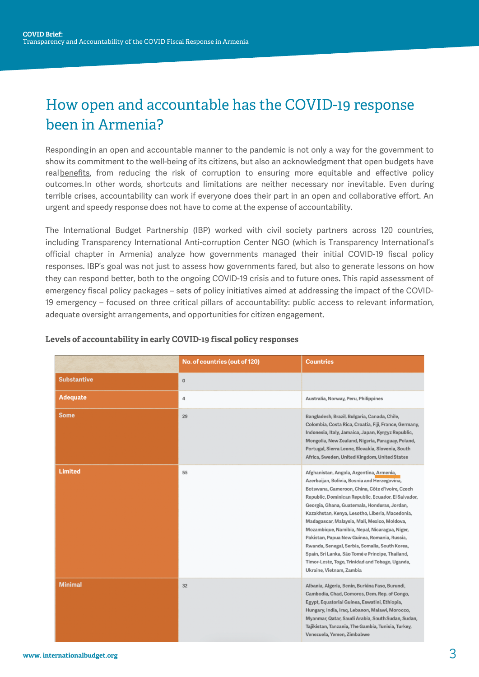## How open and accountable has the COVID-19 response been in Armenia?

Responding in an open and accountable manner to the pandemic is not only a way for the government to show its commitment to the well-being of its citizens, but also an acknowledgment that open budgets have real **benefits**, from reducing the risk of corruption to ensuring more equitable and effective policy outcomes. In other words, shortcuts and limitations are neither necessary nor inevitable. Even during terrible crises, accountability can work if everyone does their part in an open and collaborative effort. An urgent and speedy response does not have to come at the expense of accountability.

The International Budget Partnership (IBP) worked with civil society partners across 120 countries, including Transparency International Anti-corruption Center NGO (which is Transparency International's official chapter in Armenia) analyze how governments managed their initial COVID-19 fiscal policy responses. IBP's goal was not just to assess how governments fared, but also to generate lessons on how they can respond better, both to the ongoing COVID-19 crisis and to future ones. This rapid assessment of emergency fiscal policy packages – sets of policy initiatives aimed at addressing the impact of the COVID-19 emergency – focused on three critical pillars of accountability: public access to relevant information, adequate oversight arrangements, and opportunities for citizen engagement.

|                    | No. of countries (out of 120) | <b>Countries</b>                                                                                                                                                                                                                                                                                                                                                                                                                                                                                                                                                                                                                            |
|--------------------|-------------------------------|---------------------------------------------------------------------------------------------------------------------------------------------------------------------------------------------------------------------------------------------------------------------------------------------------------------------------------------------------------------------------------------------------------------------------------------------------------------------------------------------------------------------------------------------------------------------------------------------------------------------------------------------|
| <b>Substantive</b> | $\bf{0}$                      |                                                                                                                                                                                                                                                                                                                                                                                                                                                                                                                                                                                                                                             |
| <b>Adequate</b>    | 4                             | Australia, Norway, Peru, Philippines                                                                                                                                                                                                                                                                                                                                                                                                                                                                                                                                                                                                        |
| <b>Some</b>        | 29                            | Bangladesh, Brazil, Bulgaria, Canada, Chile,<br>Colombia, Costa Rica, Croatia, Fiji, France, Germany,<br>Indonesia, Italy, Jamaica, Japan, Kyrgyz Republic,<br>Mongolia, New Zealand, Nigeria, Paraguay, Poland,<br>Portugal, Sierra Leone, Slovakia, Slovenia, South<br>Africa, Sweden, United Kingdom, United States                                                                                                                                                                                                                                                                                                                      |
| <b>Limited</b>     | 55                            | Afghanistan, Angola, Argentina, Armenia,<br>Azerbaijan, Bolivia, Bosnia and Herzegovina,<br>Botswana, Cameroon, China, Côte d'Ivoire, Czech<br>Republic, Dominican Republic, Ecuador, El Salvador,<br>Georgia, Ghana, Guatemala, Honduras, Jordan,<br>Kazakhstan, Kenya, Lesotho, Liberia, Macedonia,<br>Madagascar, Malaysia, Mali, Mexico, Moldova,<br>Mozambique, Namibia, Nepal, Nicaragua, Niger,<br>Pakistan, Papua New Guinea, Romania, Russia,<br>Rwanda, Senegal, Serbia, Somalia, South Korea,<br>Spain, Sri Lanka, São Tomé e Príncipe, Thailand,<br>Timor-Leste, Togo, Trinidad and Tobago, Uganda,<br>Ukraine, Vietnam, Zambia |
| <b>Minimal</b>     | 32                            | Albania, Algeria, Benin, Burkina Faso, Burundi,<br>Cambodia, Chad, Comoros, Dem. Rep. of Congo,<br>Egypt, Equatorial Guinea, Eswatini, Ethiopia,<br>Hungary, India, Iraq, Lebanon, Malawi, Morocco,<br>Myanmar, Qatar, Saudi Arabia, South Sudan, Sudan,<br>Tajikistan, Tanzania, The Gambia, Tunisia, Turkey,<br>Venezuela, Yemen, Zimbabwe                                                                                                                                                                                                                                                                                                |

#### **Levels of accountability in early COVID-19 fiscal policy responses**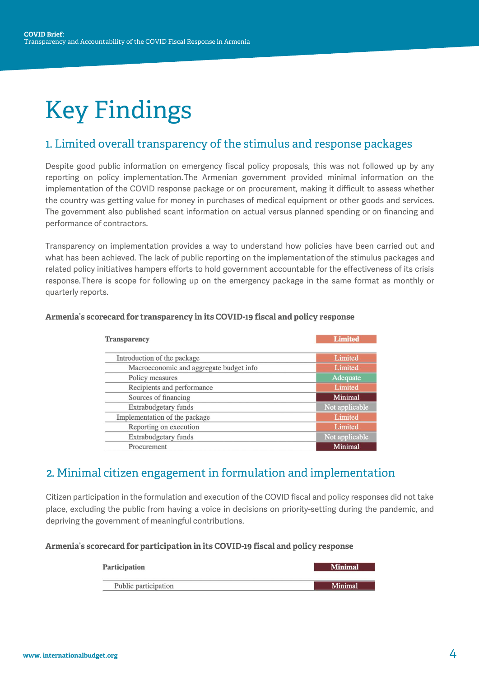# Key Findings

### 1. Limited overall transparency of the stimulus and response packages

Despite good public information on emergency fiscal policy proposals, this was not followed up by any reporting on policy implementation. The Armenian government provided minimal information on the implementation of the COVID response package or on procurement, making it difficult to assess whether the country was getting value for money in purchases of medical equipment or other goods and services. The government also published scant information on actual versus planned spending or on financing and performance of contractors.

Transparency on implementation provides a way to understand how policies have been carried out and what has been achieved. The lack of public reporting on the implementation of the stimulus packages and related policy initiatives hampers efforts to hold government accountable for the effectiveness of its crisis response. There is scope for following up on the emergency package in the same format as monthly or quarterly reports.

| <b>Transparency</b>                     | <b>Limited</b> |
|-----------------------------------------|----------------|
| Introduction of the package             | Limited        |
| Macroeconomic and aggregate budget info | Limited        |
| Policy measures                         | Adequate       |
| Recipients and performance              | Limited        |
| Sources of financing                    | Minimal        |
| Extrabudgetary funds                    | Not applicable |
| Implementation of the package           | Limited        |
| Reporting on execution                  | Limited        |
| Extrabudgetary funds                    | Not applicable |
| Procurement                             | Minimal        |

#### **Armenia's scorecard for transparency in its COVID-19 fiscal and policy response**

### 2. Minimal citizen engagement in formulation and implementation

Citizen participation in the formulation and execution of the COVID fiscal and policy responses did not take place, excluding the public from having a voice in decisions on priority-setting during the pandemic, and depriving the government of meaningful contributions.

#### **Armenia's scorecard for participation in its COVID-19 fiscal and policy response**

| Participation        | <b>Minimal</b> |
|----------------------|----------------|
| Public participation | Minimal        |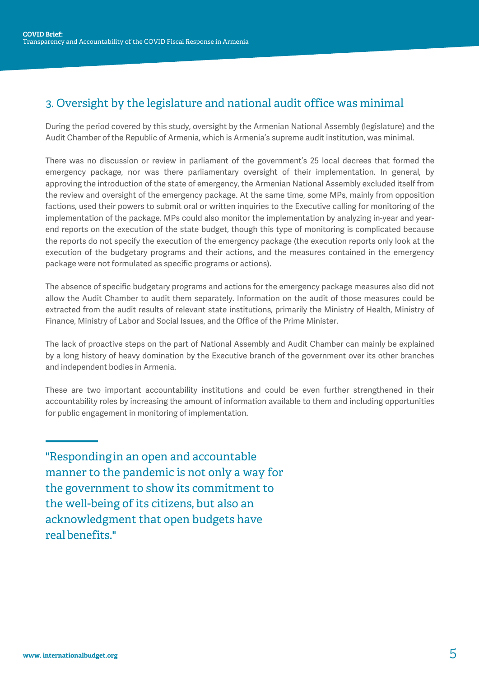## 3. Oversight by the legislature and national audit office was minimal

During the period covered by this study, oversight by the Armenian National Assembly (legislature) and the Audit Chamber of the Republic of Armenia, which is Armenia's supreme audit institution, was minimal.

There was no discussion or review in parliament of the government's 25 local decrees that formed the emergency package, nor was there parliamentary oversight of their implementation. In general, by approving the introduction of the state of emergency, the Armenian National Assembly excluded itself from the review and oversight of the emergency package. At the same time, some MPs, mainly from opposition factions, used their powers to submit oral or written inquiries to the Executive calling for monitoring of the implementation of the package. MPs could also monitor the implementation by analyzing in-year and yearend reports on the execution of the state budget, though this type of monitoring is complicated because the reports do not specify the execution of the emergency package (the execution reports only look at the execution of the budgetary programs and their actions, and the measures contained in the emergency package were not formulated as specific programs or actions).

The absence of specific budgetary programs and actions for the emergency package measures also did not allow the Audit Chamber to audit them separately. Information on the audit of those measures could be extracted from the audit results of relevant state institutions, primarily the Ministry of Health, Ministry of Finance, Ministry of Labor and Social Issues, and the Office of the Prime Minister.

The lack of proactive steps on the part of National Assembly and Audit Chamber can mainly be explained by a long history of heavy domination by the Executive branch of the government over its other branches and independent bodies in Armenia.

These are two important accountability institutions and could be even further strengthened in their accountability roles by increasing the amount of information available to them and including opportunities for public engagement in monitoring of implementation.

"Responding in an open and accountable manner to the pandemic is not only a way for the government to show its commitment to the well-being of its citizens, but also an acknowledgment that open budgets have real [benefits.](https://blog-pfm.imf.org/pfmblog/2015/09/does-it-make-any-difference-reviewing-the-impacts-of-fiscal-transparency-and-participation.html%22%20/t%20%22_blank)"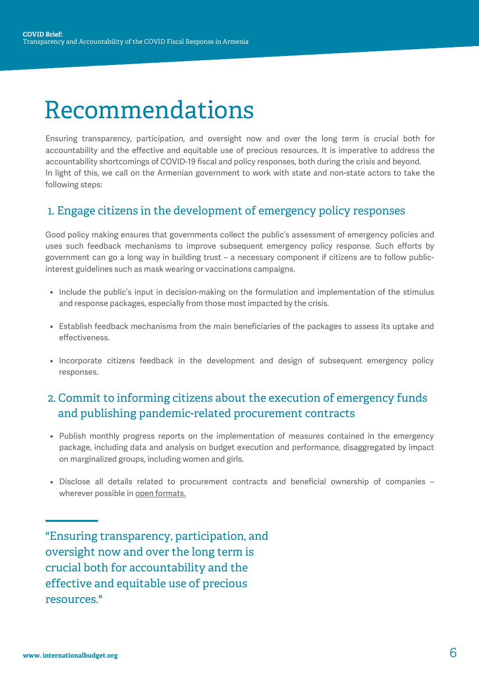# Recommendations

Ensuring transparency, participation, and oversight now and over the long term is crucial both for accountability and the effective and equitable use of precious resources. It is imperative to address the accountability shortcomings of COVID-19 fiscal and policy responses, both during the crisis and beyond. In light of this, we call on the Armenian government to work with state and non-state actors to take the following steps:

### 1. Engage citizens in the development of emergency policy responses

Good policy making ensures that governments collect the public's assessment of emergency policies and uses such feedback mechanisms to improve subsequent emergency policy response. Such efforts by government can go a long way in building trust – a necessary component if citizens are to follow publicinterest guidelines such as mask wearing or vaccinations campaigns.

- Include the public's input in decision-making on the formulation and implementation of the stimulus and response packages, especially from those most impacted by the crisis.
- Establish feedback mechanisms from the main beneficiaries of the packages to assess its uptake and effectiveness.
- Incorporate citizens feedback in the development and design of subsequent emergency policy responses.

## 2. Commit to informing citizens about the execution of emergency funds and publishing pandemic-related procurement contracts

- Publish monthly progress reports on the implementation of measures contained in the emergency package, including data and analysis on budget execution and performance, disaggregated by impact on marginalized groups, including women and girls.
- Disclose all details related to procurement contracts and beneficial ownership of companies wherever possible in [open formats.](http://opendatahandbook.org/glossary/en/terms/open-data/)

"Ensuring transparency, participation, and oversight now and over the long term is crucial both for accountability and the effective and equitable use of precious resources."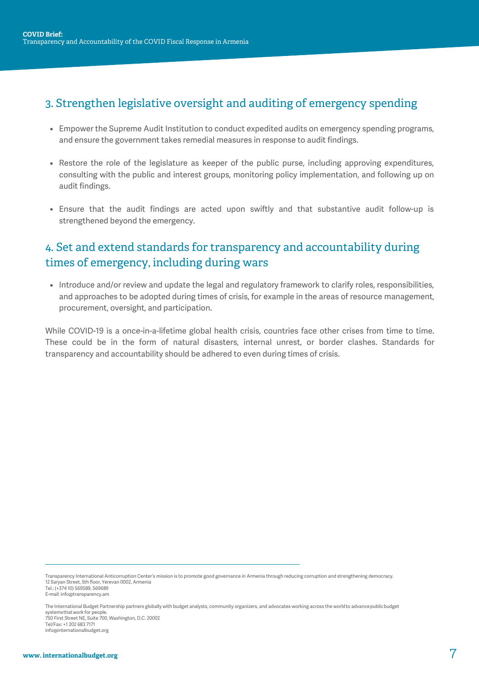## 3. Strengthen legislative oversight and auditing of emergency spending

- Empower the Supreme Audit Institution to conduct expedited audits on emergency spending programs, and ensure the government takes remedial measures in response to audit findings.
- Restore the role of the legislature as keeper of the public purse, including approving expenditures, consulting with the public and interest groups, monitoring policy implementation, and following up on audit findings.
- Ensure that the audit findings are acted upon swiftly and that substantive audit follow-up is strengthened beyond the emergency.

## 4. Set and extend standards for transparency and accountability during times of emergency, including during wars

• Introduce and/or review and update the legal and regulatory framework to clarify roles, responsibilities, and approaches to be adopted during times of crisis, for example in the areas of resource management, procurement, oversight, and participation.

While COVID-19 is a once-in-a-lifetime global health crisis, countries face other crises from time to time. These could be in the form of natural disasters, internal unrest, or border clashes. Standards for transparency and accountability should be adhered to even during times of crisis.

Transparency International Anticorruption Center's mission is to promote good governance in Armenia through reducing corruption and strengthening democracy. 12 Saryan Street, 5th floor, Yerevan 0002, Armenia Tel.: (+374 10) 569589, 569689

E-mail: info@transparency.am

The International Budget Partnership partners globally with budget analysts, community organizers, and advocates working across the world to advance public budget systems that work for people. 750 First Street NE, Suite 700, Washington, D.C. 20002 Tel/Fax: +1 202 683 7171 info@internationalbudget.org